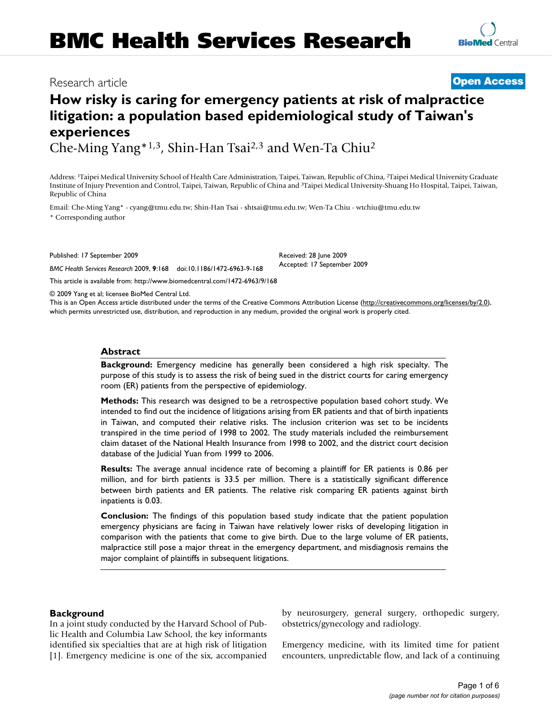# Research article **[Open Access](http://www.biomedcentral.com/info/about/charter/)**

# **How risky is caring for emergency patients at risk of malpractice litigation: a population based epidemiological study of Taiwan's experiences**

Che-Ming Yang\*1,3, Shin-Han Tsai2,3 and Wen-Ta Chiu2

Address: 1Taipei Medical University School of Health Care Administration, Taipei, Taiwan, Republic of China, 2Taipei Medical University Graduate Institute of Injury Prevention and Control, Taipei, Taiwan, Republic of China and 3Taipei Medical University-Shuang Ho Hospital, Taipei, Taiwan, Republic of China

Email: Che-Ming Yang\* - cyang@tmu.edu.tw; Shin-Han Tsai - shtsai@tmu.edu.tw; Wen-Ta Chiu - wtchiu@tmu.edu.tw \* Corresponding author

Published: 17 September 2009

*BMC Health Services Research* 2009, **9**:168 doi:10.1186/1472-6963-9-168

[This article is available from: http://www.biomedcentral.com/1472-6963/9/168](http://www.biomedcentral.com/1472-6963/9/168)

© 2009 Yang et al; licensee BioMed Central Ltd.

This is an Open Access article distributed under the terms of the Creative Commons Attribution License [\(http://creativecommons.org/licenses/by/2.0\)](http://creativecommons.org/licenses/by/2.0), which permits unrestricted use, distribution, and reproduction in any medium, provided the original work is properly cited.

Received: 28 June 2009 Accepted: 17 September 2009

### **Abstract**

**Background:** Emergency medicine has generally been considered a high risk specialty. The purpose of this study is to assess the risk of being sued in the district courts for caring emergency room (ER) patients from the perspective of epidemiology.

**Methods:** This research was designed to be a retrospective population based cohort study. We intended to find out the incidence of litigations arising from ER patients and that of birth inpatients in Taiwan, and computed their relative risks. The inclusion criterion was set to be incidents transpired in the time period of 1998 to 2002. The study materials included the reimbursement claim dataset of the National Health Insurance from 1998 to 2002, and the district court decision database of the Judicial Yuan from 1999 to 2006.

**Results:** The average annual incidence rate of becoming a plaintiff for ER patients is 0.86 per million, and for birth patients is 33.5 per million. There is a statistically significant difference between birth patients and ER patients. The relative risk comparing ER patients against birth inpatients is 0.03.

**Conclusion:** The findings of this population based study indicate that the patient population emergency physicians are facing in Taiwan have relatively lower risks of developing litigation in comparison with the patients that come to give birth. Due to the large volume of ER patients, malpractice still pose a major threat in the emergency department, and misdiagnosis remains the major complaint of plaintiffs in subsequent litigations.

## **Background**

In a joint study conducted by the Harvard School of Public Health and Columbia Law School, the key informants identified six specialties that are at high risk of litigation [1]. Emergency medicine is one of the six, accompanied by neurosurgery, general surgery, orthopedic surgery, obstetrics/gynecology and radiology.

Emergency medicine, with its limited time for patient encounters, unpredictable flow, and lack of a continuing

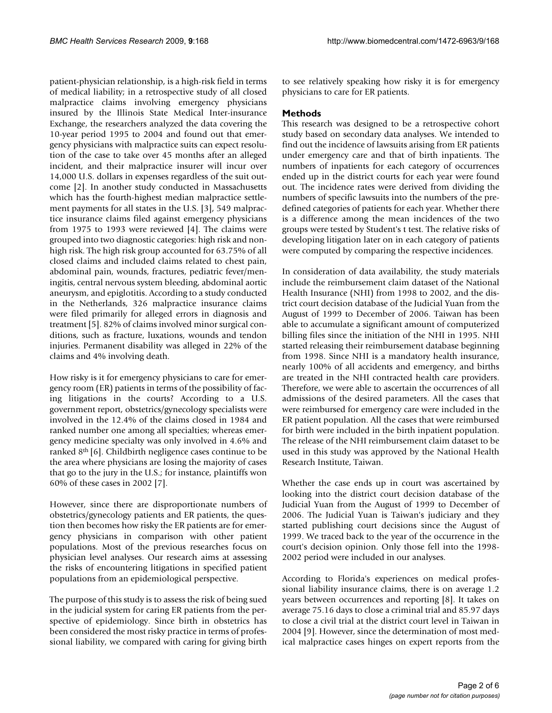patient-physician relationship, is a high-risk field in terms of medical liability; in a retrospective study of all closed malpractice claims involving emergency physicians insured by the Illinois State Medical Inter-insurance Exchange, the researchers analyzed the data covering the 10-year period 1995 to 2004 and found out that emergency physicians with malpractice suits can expect resolution of the case to take over 45 months after an alleged incident, and their malpractice insurer will incur over 14,000 U.S. dollars in expenses regardless of the suit outcome [2]. In another study conducted in Massachusetts which has the fourth-highest median malpractice settlement payments for all states in the U.S. [3], 549 malpractice insurance claims filed against emergency physicians from 1975 to 1993 were reviewed [4]. The claims were grouped into two diagnostic categories: high risk and nonhigh risk. The high risk group accounted for 63.75% of all closed claims and included claims related to chest pain, abdominal pain, wounds, fractures, pediatric fever/meningitis, central nervous system bleeding, abdominal aortic aneurysm, and epiglotitis. According to a study conducted in the Netherlands, 326 malpractice insurance claims were filed primarily for alleged errors in diagnosis and treatment [5]. 82% of claims involved minor surgical conditions, such as fracture, luxations, wounds and tendon injuries. Permanent disability was alleged in 22% of the claims and 4% involving death.

How risky is it for emergency physicians to care for emergency room (ER) patients in terms of the possibility of facing litigations in the courts? According to a U.S. government report, obstetrics/gynecology specialists were involved in the 12.4% of the claims closed in 1984 and ranked number one among all specialties; whereas emergency medicine specialty was only involved in 4.6% and ranked 8th [6]. Childbirth negligence cases continue to be the area where physicians are losing the majority of cases that go to the jury in the U.S.; for instance, plaintiffs won 60% of these cases in 2002 [7].

However, since there are disproportionate numbers of obstetrics/gynecology patients and ER patients, the question then becomes how risky the ER patients are for emergency physicians in comparison with other patient populations. Most of the previous researches focus on physician level analyses. Our research aims at assessing the risks of encountering litigations in specified patient populations from an epidemiological perspective.

The purpose of this study is to assess the risk of being sued in the judicial system for caring ER patients from the perspective of epidemiology. Since birth in obstetrics has been considered the most risky practice in terms of professional liability, we compared with caring for giving birth to see relatively speaking how risky it is for emergency physicians to care for ER patients.

# **Methods**

This research was designed to be a retrospective cohort study based on secondary data analyses. We intended to find out the incidence of lawsuits arising from ER patients under emergency care and that of birth inpatients. The numbers of inpatients for each category of occurrences ended up in the district courts for each year were found out. The incidence rates were derived from dividing the numbers of specific lawsuits into the numbers of the predefined categories of patients for each year. Whether there is a difference among the mean incidences of the two groups were tested by Student's t test. The relative risks of developing litigation later on in each category of patients were computed by comparing the respective incidences.

In consideration of data availability, the study materials include the reimbursement claim dataset of the National Health Insurance (NHI) from 1998 to 2002, and the district court decision database of the Judicial Yuan from the August of 1999 to December of 2006. Taiwan has been able to accumulate a significant amount of computerized billing files since the initiation of the NHI in 1995. NHI started releasing their reimbursement database beginning from 1998. Since NHI is a mandatory health insurance, nearly 100% of all accidents and emergency, and births are treated in the NHI contracted health care providers. Therefore, we were able to ascertain the occurrences of all admissions of the desired parameters. All the cases that were reimbursed for emergency care were included in the ER patient population. All the cases that were reimbursed for birth were included in the birth inpatient population. The release of the NHI reimbursement claim dataset to be used in this study was approved by the National Health Research Institute, Taiwan.

Whether the case ends up in court was ascertained by looking into the district court decision database of the Judicial Yuan from the August of 1999 to December of 2006. The Judicial Yuan is Taiwan's judiciary and they started publishing court decisions since the August of 1999. We traced back to the year of the occurrence in the court's decision opinion. Only those fell into the 1998- 2002 period were included in our analyses.

According to Florida's experiences on medical professional liability insurance claims, there is on average 1.2 years between occurrences and reporting [8]. It takes on average 75.16 days to close a criminal trial and 85.97 days to close a civil trial at the district court level in Taiwan in 2004 [9]. However, since the determination of most medical malpractice cases hinges on expert reports from the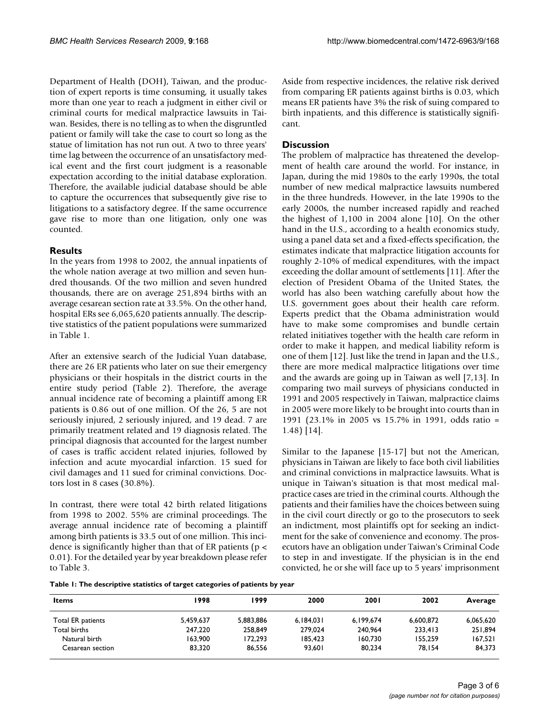Department of Health (DOH), Taiwan, and the production of expert reports is time consuming, it usually takes more than one year to reach a judgment in either civil or criminal courts for medical malpractice lawsuits in Taiwan. Besides, there is no telling as to when the disgruntled patient or family will take the case to court so long as the statue of limitation has not run out. A two to three years' time lag between the occurrence of an unsatisfactory medical event and the first court judgment is a reasonable expectation according to the initial database exploration. Therefore, the available judicial database should be able to capture the occurrences that subsequently give rise to litigations to a satisfactory degree. If the same occurrence gave rise to more than one litigation, only one was counted.

# **Results**

In the years from 1998 to 2002, the annual inpatients of the whole nation average at two million and seven hundred thousands. Of the two million and seven hundred thousands, there are on average 251,894 births with an average cesarean section rate at 33.5%. On the other hand, hospital ERs see 6,065,620 patients annually. The descriptive statistics of the patient populations were summarized in Table 1.

After an extensive search of the Judicial Yuan database, there are 26 ER patients who later on sue their emergency physicians or their hospitals in the district courts in the entire study period (Table 2). Therefore, the average annual incidence rate of becoming a plaintiff among ER patients is 0.86 out of one million. Of the 26, 5 are not seriously injured, 2 seriously injured, and 19 dead. 7 are primarily treatment related and 19 diagnosis related. The principal diagnosis that accounted for the largest number of cases is traffic accident related injuries, followed by infection and acute myocardial infarction. 15 sued for civil damages and 11 sued for criminal convictions. Doctors lost in 8 cases (30.8%).

In contrast, there were total 42 birth related litigations from 1998 to 2002. 55% are criminal proceedings. The average annual incidence rate of becoming a plaintiff among birth patients is 33.5 out of one million. This incidence is significantly higher than that of ER patients (p < 0.01). For the detailed year by year breakdown please refer to Table 3.

Aside from respective incidences, the relative risk derived from comparing ER patients against births is 0.03, which means ER patients have 3% the risk of suing compared to birth inpatients, and this difference is statistically significant.

# **Discussion**

The problem of malpractice has threatened the development of health care around the world. For instance, in Japan, during the mid 1980s to the early 1990s, the total number of new medical malpractice lawsuits numbered in the three hundreds. However, in the late 1990s to the early 2000s, the number increased rapidly and reached the highest of 1,100 in 2004 alone [10]. On the other hand in the U.S., according to a health economics study, using a panel data set and a fixed-effects specification, the estimates indicate that malpractice litigation accounts for roughly 2-10% of medical expenditures, with the impact exceeding the dollar amount of settlements [11]. After the election of President Obama of the United States, the world has also been watching carefully about how the U.S. government goes about their health care reform. Experts predict that the Obama administration would have to make some compromises and bundle certain related initiatives together with the health care reform in order to make it happen, and medical liability reform is one of them [12]. Just like the trend in Japan and the U.S., there are more medical malpractice litigations over time and the awards are going up in Taiwan as well [7,13]. In comparing two mail surveys of physicians conducted in 1991 and 2005 respectively in Taiwan, malpractice claims in 2005 were more likely to be brought into courts than in 1991 (23.1% in 2005 vs 15.7% in 1991, odds ratio = 1.48) [14].

Similar to the Japanese [15-17] but not the American, physicians in Taiwan are likely to face both civil liabilities and criminal convictions in malpractice lawsuits. What is unique in Taiwan's situation is that most medical malpractice cases are tried in the criminal courts. Although the patients and their families have the choices between suing in the civil court directly or go to the prosecutors to seek an indictment, most plaintiffs opt for seeking an indictment for the sake of convenience and economy. The prosecutors have an obligation under Taiwan's Criminal Code to step in and investigate. If the physician is in the end convicted, he or she will face up to 5 years' imprisonment

**Table 1: The descriptive statistics of target categories of patients by year**

| <b>Items</b>      | 1998      | 1999      | 2000      | <b>2001</b> | 2002      | Average   |
|-------------------|-----------|-----------|-----------|-------------|-----------|-----------|
| Total ER patients | 5.459.637 | 5.883.886 | 6.184.031 | 6.199.674   | 6.600.872 | 6.065.620 |
| Total births      | 247.220   | 258,849   | 279,024   | 240,964     | 233.413   | 251.894   |
| Natural birth     | 163.900   | 172.293   | 185.423   | 160.730     | 155.259   | 167.521   |
| Cesarean section  | 83.320    | 86.556    | 93.601    | 80.234      | 78.154    | 84.373    |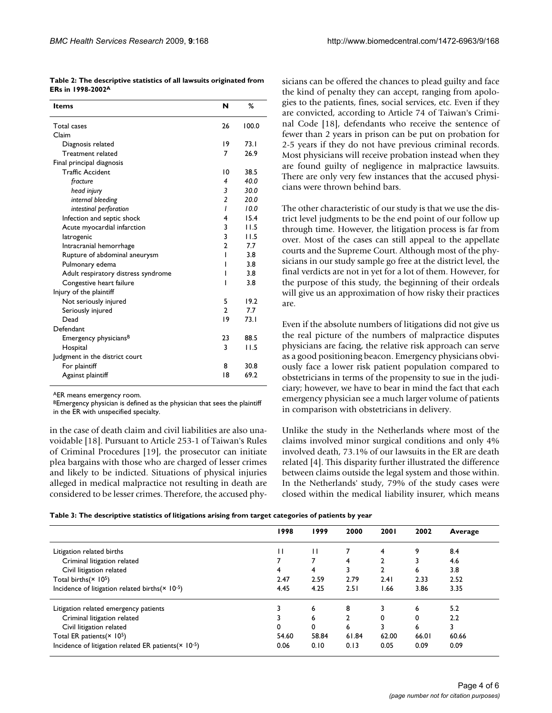| Table 2: The descriptive statistics of all lawsuits originated from |  |
|---------------------------------------------------------------------|--|
| ERs in 1998-2002A                                                   |  |

| Items                               | N              | %     |
|-------------------------------------|----------------|-------|
| Total cases                         | 26             | 100.0 |
| Claim                               |                |       |
| Diagnosis related                   | 19             | 73. I |
| <b>Treatment related</b>            | 7              | 26.9  |
| Final principal diagnosis           |                |       |
| <b>Traffic Accident</b>             | 10             | 38.5  |
| fracture                            | $\overline{4}$ | 40.0  |
| head injury                         | 3              | 30.0  |
| internal bleeding                   | $\overline{2}$ | 20.0  |
| intestinal perforation              | ı              | 10.0  |
| Infection and septic shock          | 4              | 15.4  |
| Acute myocardial infarction         | 3              | 11.5  |
| latrogenic                          | 3              | 11.5  |
| Intracranial hemorrhage             | $\overline{2}$ | 7.7   |
| Rupture of abdominal aneurysm       | ı              | 3.8   |
| Pulmonary edema                     | ı              | 3.8   |
| Adult respiratory distress syndrome | ı              | 3.8   |
| Congestive heart failure            | ı              | 3.8   |
| Injury of the plaintiff             |                |       |
| Not seriously injured               | 5              | 19.2  |
| Seriously injured                   | $\mathcal{P}$  | 7.7   |
| Dead                                | 19             | 73.1  |
| Defendant                           |                |       |
| Emergency physicians <sup>B</sup>   | 23             | 88.5  |
| Hospital                            | 3              | 11.5  |
| Judgment in the district court      |                |       |
| For plaintiff                       | 8              | 30.8  |
| Against plaintiff                   | 18             | 69.2  |
|                                     |                |       |

AER means emergency room.

BEmergency physician is defined as the physician that sees the plaintiff in the ER with unspecified specialty.

in the case of death claim and civil liabilities are also unavoidable [18]. Pursuant to Article 253-1 of Taiwan's Rules of Criminal Procedures [19], the prosecutor can initiate plea bargains with those who are charged of lesser crimes and likely to be indicted. Situations of physical injuries alleged in medical malpractice not resulting in death are considered to be lesser crimes. Therefore, the accused physicians can be offered the chances to plead guilty and face the kind of penalty they can accept, ranging from apologies to the patients, fines, social services, etc. Even if they are convicted, according to Article 74 of Taiwan's Criminal Code [18], defendants who receive the sentence of fewer than 2 years in prison can be put on probation for 2-5 years if they do not have previous criminal records. Most physicians will receive probation instead when they are found guilty of negligence in malpractice lawsuits. There are only very few instances that the accused physicians were thrown behind bars.

The other characteristic of our study is that we use the district level judgments to be the end point of our follow up through time. However, the litigation process is far from over. Most of the cases can still appeal to the appellate courts and the Supreme Court. Although most of the physicians in our study sample go free at the district level, the final verdicts are not in yet for a lot of them. However, for the purpose of this study, the beginning of their ordeals will give us an approximation of how risky their practices are.

Even if the absolute numbers of litigations did not give us the real picture of the numbers of malpractice disputes physicians are facing, the relative risk approach can serve as a good positioning beacon. Emergency physicians obviously face a lower risk patient population compared to obstetricians in terms of the propensity to sue in the judiciary; however, we have to bear in mind the fact that each emergency physician see a much larger volume of patients in comparison with obstetricians in delivery.

Unlike the study in the Netherlands where most of the claims involved minor surgical conditions and only 4% involved death, 73.1% of our lawsuits in the ER are death related [4]. This disparity further illustrated the difference between claims outside the legal system and those within. In the Netherlands' study, 79% of the study cases were closed within the medical liability insurer, which means

|  | Table 3: The descriptive statistics of litigations arising from target categories of patients by year |  |  |  |
|--|-------------------------------------------------------------------------------------------------------|--|--|--|
|  |                                                                                                       |  |  |  |

|                                                             | 1998         | 1999  | 2000           | 2001  | 2002  | Average |
|-------------------------------------------------------------|--------------|-------|----------------|-------|-------|---------|
| Litigation related births                                   | $\mathsf{H}$ | п     |                | 4     | 9     | 8.4     |
| Criminal litigation related                                 |              |       | 4              |       |       | 4.6     |
| Civil litigation related                                    | 4            | 4     | 3              |       | 6     | 3.8     |
| Total births $(× 105)$                                      | 2.47         | 2.59  | 2.79           | 2.41  | 2.33  | 2.52    |
| Incidence of litigation related births $(x   10^{-5})$      | 4.45         | 4.25  | 2.51           | 66. ا | 3.86  | 3.35    |
| Litigation related emergency patients                       |              | 6     | 8              |       | 6     | 5.2     |
| Criminal litigation related                                 |              | 6     | $\overline{2}$ | 0     | 0     | 2.2     |
| Civil litigation related                                    | 0            | 0     | 6              | 3     | 6     | 3       |
| Total ER patients $($ × 10 <sup>5</sup> $)$                 | 54.60        | 58.84 | 61.84          | 62.00 | 66.01 | 60.66   |
| Incidence of litigation related ER patients $(x   10^{-5})$ | 0.06         | 0.10  | 0.13           | 0.05  | 0.09  | 0.09    |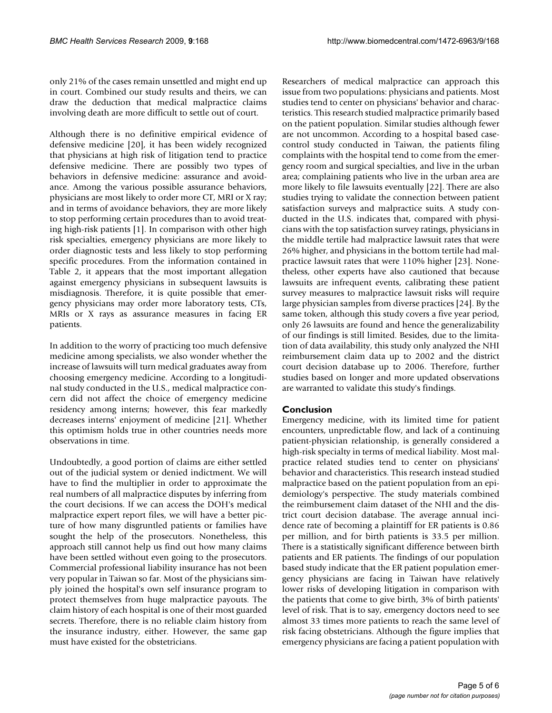only 21% of the cases remain unsettled and might end up in court. Combined our study results and theirs, we can draw the deduction that medical malpractice claims involving death are more difficult to settle out of court.

Although there is no definitive empirical evidence of defensive medicine [20], it has been widely recognized that physicians at high risk of litigation tend to practice defensive medicine. There are possibly two types of behaviors in defensive medicine: assurance and avoidance. Among the various possible assurance behaviors, physicians are most likely to order more CT, MRI or X ray; and in terms of avoidance behaviors, they are more likely to stop performing certain procedures than to avoid treating high-risk patients [1]. In comparison with other high risk specialties, emergency physicians are more likely to order diagnostic tests and less likely to stop performing specific procedures. From the information contained in Table 2, it appears that the most important allegation against emergency physicians in subsequent lawsuits is misdiagnosis. Therefore, it is quite possible that emergency physicians may order more laboratory tests, CTs, MRIs or X rays as assurance measures in facing ER patients.

In addition to the worry of practicing too much defensive medicine among specialists, we also wonder whether the increase of lawsuits will turn medical graduates away from choosing emergency medicine. According to a longitudinal study conducted in the U.S., medical malpractice concern did not affect the choice of emergency medicine residency among interns; however, this fear markedly decreases interns' enjoyment of medicine [21]. Whether this optimism holds true in other countries needs more observations in time.

Undoubtedly, a good portion of claims are either settled out of the judicial system or denied indictment. We will have to find the multiplier in order to approximate the real numbers of all malpractice disputes by inferring from the court decisions. If we can access the DOH's medical malpractice expert report files, we will have a better picture of how many disgruntled patients or families have sought the help of the prosecutors. Nonetheless, this approach still cannot help us find out how many claims have been settled without even going to the prosecutors. Commercial professional liability insurance has not been very popular in Taiwan so far. Most of the physicians simply joined the hospital's own self insurance program to protect themselves from huge malpractice payouts. The claim history of each hospital is one of their most guarded secrets. Therefore, there is no reliable claim history from the insurance industry, either. However, the same gap must have existed for the obstetricians.

Researchers of medical malpractice can approach this issue from two populations: physicians and patients. Most studies tend to center on physicians' behavior and characteristics. This research studied malpractice primarily based on the patient population. Similar studies although fewer are not uncommon. According to a hospital based casecontrol study conducted in Taiwan, the patients filing complaints with the hospital tend to come from the emergency room and surgical specialties, and live in the urban area; complaining patients who live in the urban area are more likely to file lawsuits eventually [22]. There are also studies trying to validate the connection between patient satisfaction surveys and malpractice suits. A study conducted in the U.S. indicates that, compared with physicians with the top satisfaction survey ratings, physicians in the middle tertile had malpractice lawsuit rates that were 26% higher, and physicians in the bottom tertile had malpractice lawsuit rates that were 110% higher [23]. Nonetheless, other experts have also cautioned that because lawsuits are infrequent events, calibrating these patient survey measures to malpractice lawsuit risks will require large physician samples from diverse practices [24]. By the same token, although this study covers a five year period, only 26 lawsuits are found and hence the generalizability of our findings is still limited. Besides, due to the limitation of data availability, this study only analyzed the NHI reimbursement claim data up to 2002 and the district court decision database up to 2006. Therefore, further studies based on longer and more updated observations are warranted to validate this study's findings.

# **Conclusion**

Emergency medicine, with its limited time for patient encounters, unpredictable flow, and lack of a continuing patient-physician relationship, is generally considered a high-risk specialty in terms of medical liability. Most malpractice related studies tend to center on physicians' behavior and characteristics. This research instead studied malpractice based on the patient population from an epidemiology's perspective. The study materials combined the reimbursement claim dataset of the NHI and the district court decision database. The average annual incidence rate of becoming a plaintiff for ER patients is 0.86 per million, and for birth patients is 33.5 per million. There is a statistically significant difference between birth patients and ER patients. The findings of our population based study indicate that the ER patient population emergency physicians are facing in Taiwan have relatively lower risks of developing litigation in comparison with the patients that come to give birth, 3% of birth patients' level of risk. That is to say, emergency doctors need to see almost 33 times more patients to reach the same level of risk facing obstetricians. Although the figure implies that emergency physicians are facing a patient population with